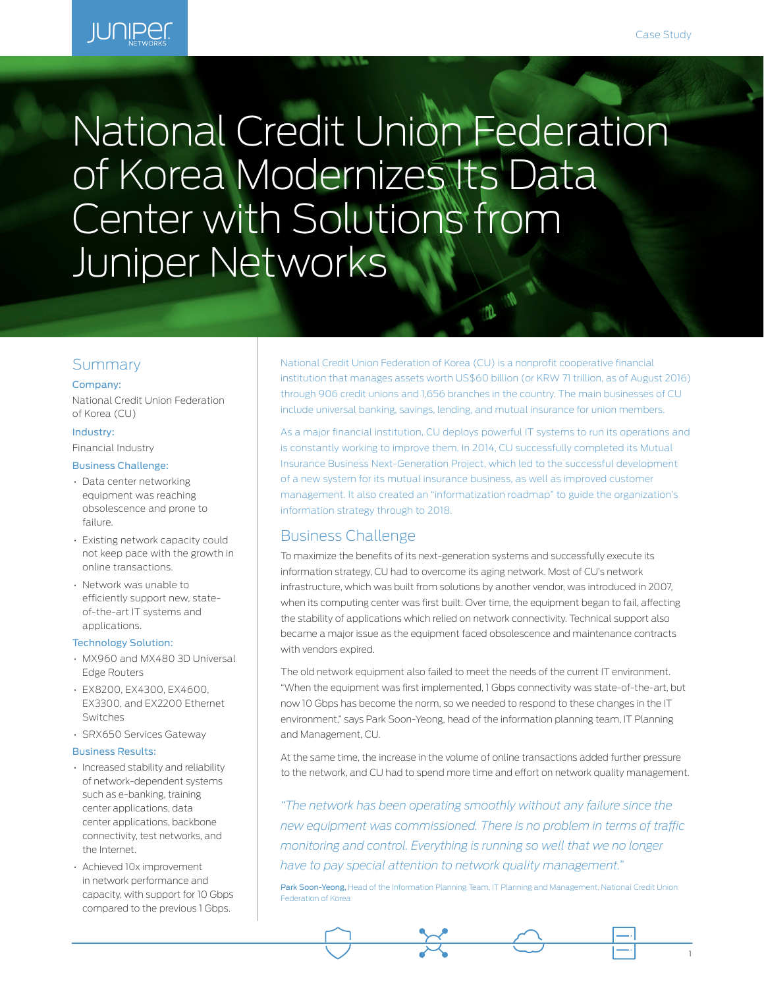1

# **IUNIPED**

# National Credit Union Federation of Korea Modernizes Its Data Center with Solutions from Juniper Networks

# Summary

#### Company:

National Credit Union Federation of Korea (CU)

#### Industry:

Financial Industry

#### Business Challenge:

- Data center networking equipment was reaching obsolescence and prone to failure.
- Existing network capacity could not keep pace with the growth in online transactions.
- Network was unable to efficiently support new, stateof-the-art IT systems and applications.

#### Technology Solution:

- MX960 and MX480 3D Universal Edge Routers
- EX8200, EX4300, EX4600, EX3300, and EX2200 Ethernet Switches
- SRX650 Services Gateway

#### Business Results:

- Increased stability and reliability of network-dependent systems such as e-banking, training center applications, data center applications, backbone connectivity, test networks, and the Internet.
- Achieved 10x improvement in network performance and capacity, with support for 10 Gbps compared to the previous 1 Gbps.

National Credit Union Federation of Korea (CU) is a nonprofit cooperative financial institution that manages assets worth US\$60 billion (or KRW 71 trillion, as of August 2016) through 906 credit unions and 1,656 branches in the country. The main businesses of CU include universal banking, savings, lending, and mutual insurance for union members.

 $\theta$  $\mathbf{m}$ 

As a major financial institution, CU deploys powerful IT systems to run its operations and is constantly working to improve them. In 2014, CU successfully completed its Mutual Insurance Business Next-Generation Project, which led to the successful development of a new system for its mutual insurance business, as well as improved customer management. It also created an "informatization roadmap" to guide the organization's information strategy through to 2018.

# Business Challenge

To maximize the benefits of its next-generation systems and successfully execute its information strategy, CU had to overcome its aging network. Most of CU's network infrastructure, which was built from solutions by another vendor, was introduced in 2007, when its computing center was first built. Over time, the equipment began to fail, affecting the stability of applications which relied on network connectivity. Technical support also became a major issue as the equipment faced obsolescence and maintenance contracts with vendors expired.

The old network equipment also failed to meet the needs of the current IT environment. "When the equipment was first implemented, 1 Gbps connectivity was state-of-the-art, but now 10 Gbps has become the norm, so we needed to respond to these changes in the IT environment," says Park Soon-Yeong, head of the information planning team, IT Planning and Management, CU.

At the same time, the increase in the volume of online transactions added further pressure to the network, and CU had to spend more time and effort on network quality management.

*"The network has been operating smoothly without any failure since the new equipment was commissioned. There is no problem in terms of traffic monitoring and control. Everything is running so well that we no longer have to pay special attention to network quality management."*

Park Soon-Yeong, Head of the Information Planning Team, IT Planning and Management, National Credit Union Federation of Korea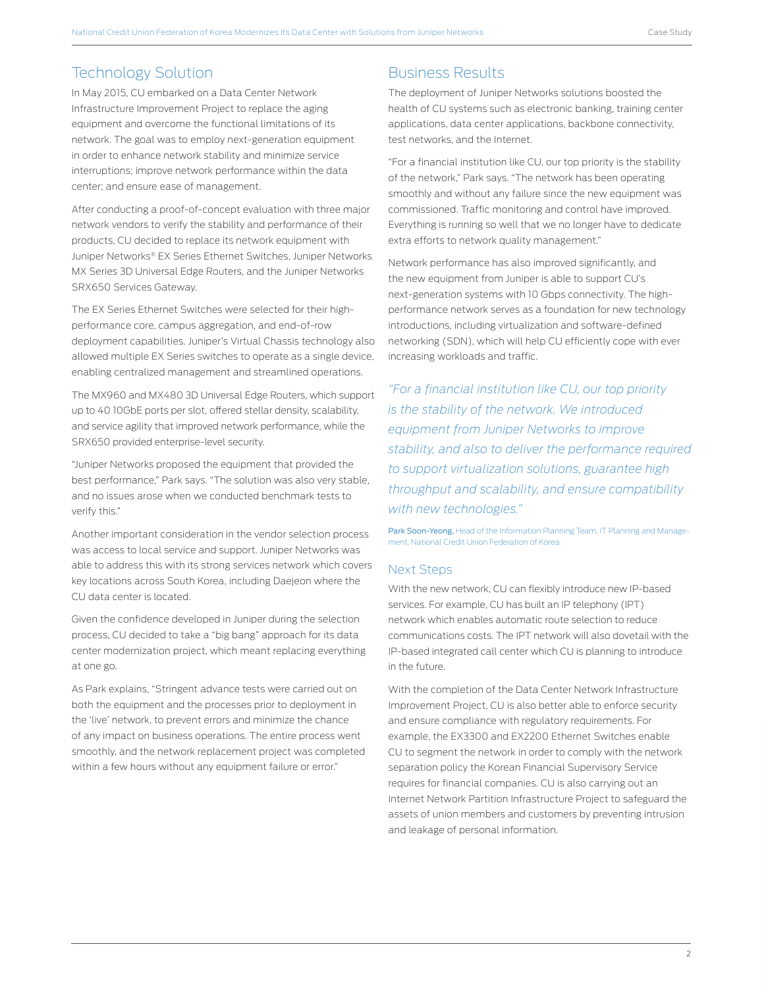# Technology Solution

In May 2015, CU embarked on a Data Center Network Infrastructure Improvement Project to replace the aging equipment and overcome the functional limitations of its network. The goal was to employ next-generation equipment in order to enhance network stability and minimize service interruptions; improve network performance within the data center; and ensure ease of management.

After conducting a proof-of-concept evaluation with three major network vendors to verify the stability and performance of their products, CU decided to replace its network equipment with Juniper Networks® EX Series Ethernet Switches, Juniper Networks MX Series 3D Universal Edge Routers, and the Juniper Networks SRX650 Services Gateway.

The EX Series Ethernet Switches were selected for their highperformance core, campus aggregation, and end-of-row deployment capabilities. Juniper's Virtual Chassis technology also allowed multiple EX Series switches to operate as a single device, enabling centralized management and streamlined operations.

The MX960 and MX480 3D Universal Edge Routers, which support up to 40 10GbE ports per slot, offered stellar density, scalability, and service agility that improved network performance, while the SRX650 provided enterprise-level security.

"Juniper Networks proposed the equipment that provided the best performance," Park says. "The solution was also very stable, and no issues arose when we conducted benchmark tests to verify this."

Another important consideration in the vendor selection process was access to local service and support. Juniper Networks was able to address this with its strong services network which covers key locations across South Korea, including Daejeon where the CU data center is located.

Given the confidence developed in Juniper during the selection process, CU decided to take a "big bang" approach for its data center modernization project, which meant replacing everything at one go.

As Park explains, "Stringent advance tests were carried out on both the equipment and the processes prior to deployment in the 'live' network, to prevent errors and minimize the chance of any impact on business operations. The entire process went smoothly, and the network replacement project was completed within a few hours without any equipment failure or error."

# Business Results

The deployment of Juniper Networks solutions boosted the health of CU systems such as electronic banking, training center applications, data center applications, backbone connectivity, test networks, and the Internet.

"For a financial institution like CU, our top priority is the stability of the network," Park says. "The network has been operating smoothly and without any failure since the new equipment was commissioned. Traffic monitoring and control have improved. Everything is running so well that we no longer have to dedicate extra efforts to network quality management."

Network performance has also improved significantly, and the new equipment from Juniper is able to support CU's next-generation systems with 10 Gbps connectivity. The highperformance network serves as a foundation for new technology introductions, including virtualization and software-defined networking (SDN), which will help CU efficiently cope with ever increasing workloads and traffic.

*"For a financial institution like CU, our top priority is the stability of the network. We introduced equipment from Juniper Networks to improve stability, and also to deliver the performance required to support virtualization solutions, guarantee high throughput and scalability, and ensure compatibility with new technologies."* 

Park Soon-Yeong, Head of the Information Planning Team, IT Planning and Management, National Credit Union Federation of Korea

#### Next Steps

With the new network, CU can flexibly introduce new IP-based services. For example, CU has built an IP telephony (IPT) network which enables automatic route selection to reduce communications costs. The IPT network will also dovetail with the IP-based integrated call center which CU is planning to introduce in the future.

With the completion of the Data Center Network Infrastructure Improvement Project, CU is also better able to enforce security and ensure compliance with regulatory requirements. For example, the EX3300 and EX2200 Ethernet Switches enable CU to segment the network in order to comply with the network separation policy the Korean Financial Supervisory Service requires for financial companies. CU is also carrying out an Internet Network Partition Infrastructure Project to safeguard the assets of union members and customers by preventing intrusion and leakage of personal information.